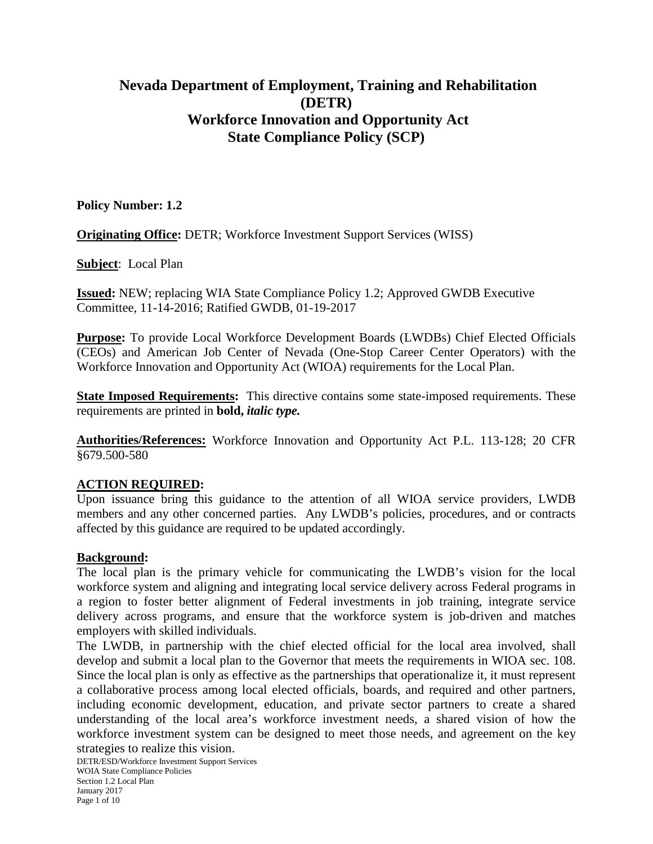# **Nevada Department of Employment, Training and Rehabilitation (DETR) Workforce Innovation and Opportunity Act State Compliance Policy (SCP)**

# **Policy Number: 1.2**

**Originating Office:** DETR; Workforce Investment Support Services (WISS)

**Subject**: Local Plan

**Issued:** NEW; replacing WIA State Compliance Policy 1.2; Approved GWDB Executive Committee, 11-14-2016; Ratified GWDB, 01-19-2017

**Purpose:** To provide Local Workforce Development Boards (LWDBs) Chief Elected Officials (CEOs) and American Job Center of Nevada (One-Stop Career Center Operators) with the Workforce Innovation and Opportunity Act (WIOA) requirements for the Local Plan.

**State Imposed Requirements:** This directive contains some state-imposed requirements. These requirements are printed in **bold,** *italic type.*

**Authorities/References:** Workforce Innovation and Opportunity Act P.L. 113-128; 20 CFR §679.500-580

#### **ACTION REQUIRED:**

Upon issuance bring this guidance to the attention of all WIOA service providers, LWDB members and any other concerned parties. Any LWDB's policies, procedures, and or contracts affected by this guidance are required to be updated accordingly.

#### **Background:**

The local plan is the primary vehicle for communicating the LWDB's vision for the local workforce system and aligning and integrating local service delivery across Federal programs in a region to foster better alignment of Federal investments in job training, integrate service delivery across programs, and ensure that the workforce system is job-driven and matches employers with skilled individuals.

The LWDB, in partnership with the chief elected official for the local area involved, shall develop and submit a local plan to the Governor that meets the requirements in WIOA sec. 108. Since the local plan is only as effective as the partnerships that operationalize it, it must represent a collaborative process among local elected officials, boards, and required and other partners, including economic development, education, and private sector partners to create a shared understanding of the local area's workforce investment needs, a shared vision of how the workforce investment system can be designed to meet those needs, and agreement on the key strategies to realize this vision.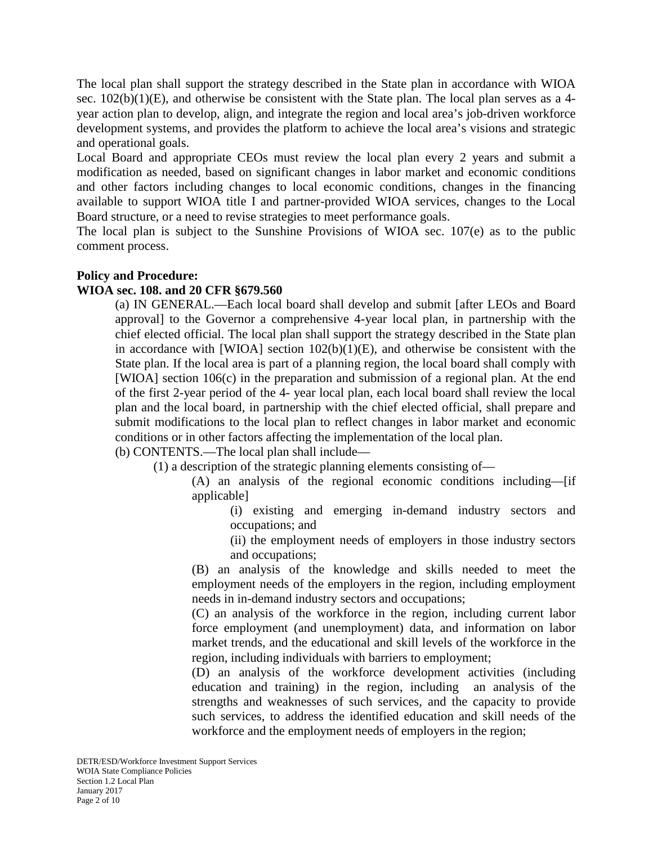The local plan shall support the strategy described in the State plan in accordance with WIOA sec.  $102(b)(1)(E)$ , and otherwise be consistent with the State plan. The local plan serves as a 4year action plan to develop, align, and integrate the region and local area's job-driven workforce development systems, and provides the platform to achieve the local area's visions and strategic and operational goals.

Local Board and appropriate CEOs must review the local plan every 2 years and submit a modification as needed, based on significant changes in labor market and economic conditions and other factors including changes to local economic conditions, changes in the financing available to support WIOA title I and partner-provided WIOA services, changes to the Local Board structure, or a need to revise strategies to meet performance goals.

The local plan is subject to the Sunshine Provisions of WIOA sec. 107(e) as to the public comment process.

# **Policy and Procedure:**

# **WIOA sec. 108. and 20 CFR §679.560**

(a) IN GENERAL.—Each local board shall develop and submit [after LEOs and Board approval] to the Governor a comprehensive 4-year local plan, in partnership with the chief elected official. The local plan shall support the strategy described in the State plan in accordance with [WIOA] section  $102(b)(1)(E)$ , and otherwise be consistent with the State plan. If the local area is part of a planning region, the local board shall comply with [WIOA] section 106(c) in the preparation and submission of a regional plan. At the end of the first 2-year period of the 4- year local plan, each local board shall review the local plan and the local board, in partnership with the chief elected official, shall prepare and submit modifications to the local plan to reflect changes in labor market and economic conditions or in other factors affecting the implementation of the local plan.

(b) CONTENTS.—The local plan shall include—

(1) a description of the strategic planning elements consisting of—

(A) an analysis of the regional economic conditions including—[if applicable]

(i) existing and emerging in-demand industry sectors and occupations; and

(ii) the employment needs of employers in those industry sectors and occupations;

(B) an analysis of the knowledge and skills needed to meet the employment needs of the employers in the region, including employment needs in in-demand industry sectors and occupations;

(C) an analysis of the workforce in the region, including current labor force employment (and unemployment) data, and information on labor market trends, and the educational and skill levels of the workforce in the region, including individuals with barriers to employment;

(D) an analysis of the workforce development activities (including education and training) in the region, including an analysis of the strengths and weaknesses of such services, and the capacity to provide such services, to address the identified education and skill needs of the workforce and the employment needs of employers in the region;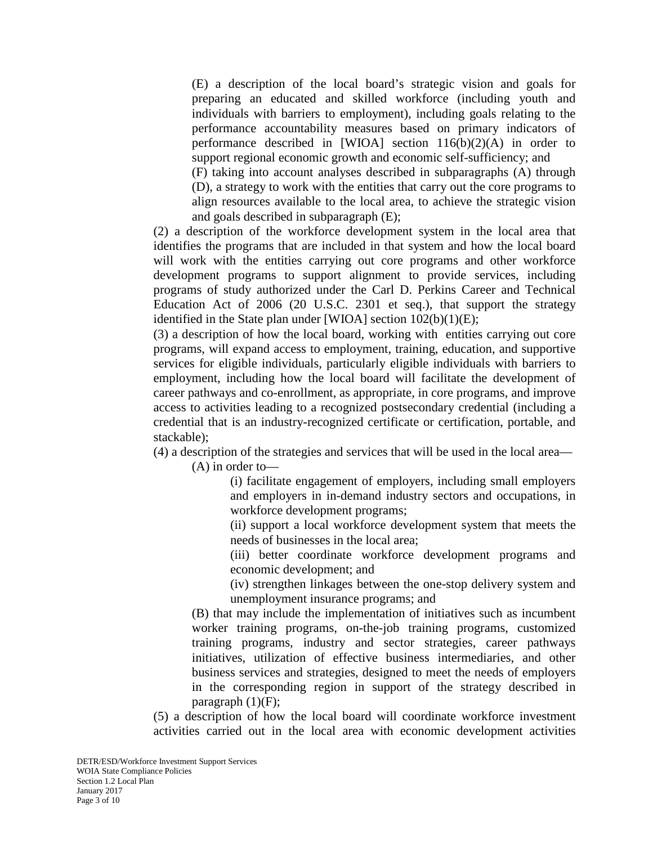(E) a description of the local board's strategic vision and goals for preparing an educated and skilled workforce (including youth and individuals with barriers to employment), including goals relating to the performance accountability measures based on primary indicators of performance described in [WIOA] section  $116(b)(2)(A)$  in order to support regional economic growth and economic self-sufficiency; and

(F) taking into account analyses described in subparagraphs (A) through (D), a strategy to work with the entities that carry out the core programs to align resources available to the local area, to achieve the strategic vision and goals described in subparagraph (E);

(2) a description of the workforce development system in the local area that identifies the programs that are included in that system and how the local board will work with the entities carrying out core programs and other workforce development programs to support alignment to provide services, including programs of study authorized under the Carl D. Perkins Career and Technical Education Act of 2006 (20 U.S.C. 2301 et seq.), that support the strategy identified in the State plan under [WIOA] section 102(b)(1)(E);

(3) a description of how the local board, working with entities carrying out core programs, will expand access to employment, training, education, and supportive services for eligible individuals, particularly eligible individuals with barriers to employment, including how the local board will facilitate the development of career pathways and co-enrollment, as appropriate, in core programs, and improve access to activities leading to a recognized postsecondary credential (including a credential that is an industry-recognized certificate or certification, portable, and stackable);

(4) a description of the strategies and services that will be used in the local area— (A) in order to—

> (i) facilitate engagement of employers, including small employers and employers in in-demand industry sectors and occupations, in workforce development programs;

> (ii) support a local workforce development system that meets the needs of businesses in the local area;

> (iii) better coordinate workforce development programs and economic development; and

> (iv) strengthen linkages between the one-stop delivery system and unemployment insurance programs; and

(B) that may include the implementation of initiatives such as incumbent worker training programs, on-the-job training programs, customized training programs, industry and sector strategies, career pathways initiatives, utilization of effective business intermediaries, and other business services and strategies, designed to meet the needs of employers in the corresponding region in support of the strategy described in paragraph  $(1)(F)$ ;

(5) a description of how the local board will coordinate workforce investment activities carried out in the local area with economic development activities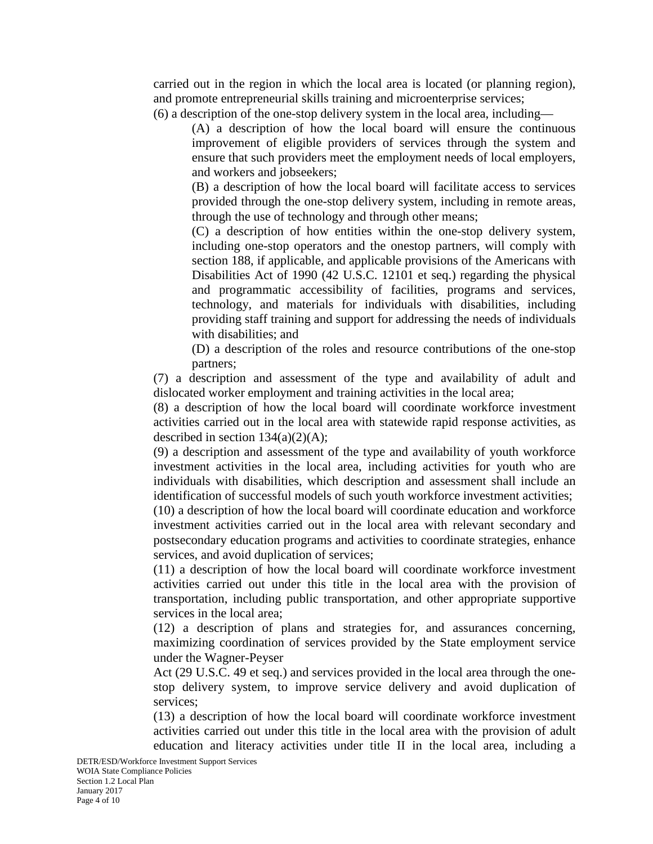carried out in the region in which the local area is located (or planning region), and promote entrepreneurial skills training and microenterprise services;

(6) a description of the one-stop delivery system in the local area, including—

(A) a description of how the local board will ensure the continuous improvement of eligible providers of services through the system and ensure that such providers meet the employment needs of local employers, and workers and jobseekers;

(B) a description of how the local board will facilitate access to services provided through the one-stop delivery system, including in remote areas, through the use of technology and through other means;

(C) a description of how entities within the one-stop delivery system, including one-stop operators and the onestop partners, will comply with section 188, if applicable, and applicable provisions of the Americans with Disabilities Act of 1990 (42 U.S.C. 12101 et seq.) regarding the physical and programmatic accessibility of facilities, programs and services, technology, and materials for individuals with disabilities, including providing staff training and support for addressing the needs of individuals with disabilities; and

(D) a description of the roles and resource contributions of the one-stop partners;

(7) a description and assessment of the type and availability of adult and dislocated worker employment and training activities in the local area;

(8) a description of how the local board will coordinate workforce investment activities carried out in the local area with statewide rapid response activities, as described in section  $134(a)(2)(A)$ ;

(9) a description and assessment of the type and availability of youth workforce investment activities in the local area, including activities for youth who are individuals with disabilities, which description and assessment shall include an identification of successful models of such youth workforce investment activities;

(10) a description of how the local board will coordinate education and workforce investment activities carried out in the local area with relevant secondary and postsecondary education programs and activities to coordinate strategies, enhance services, and avoid duplication of services;

(11) a description of how the local board will coordinate workforce investment activities carried out under this title in the local area with the provision of transportation, including public transportation, and other appropriate supportive services in the local area;

(12) a description of plans and strategies for, and assurances concerning, maximizing coordination of services provided by the State employment service under the Wagner-Peyser

Act (29 U.S.C. 49 et seq.) and services provided in the local area through the onestop delivery system, to improve service delivery and avoid duplication of services;

(13) a description of how the local board will coordinate workforce investment activities carried out under this title in the local area with the provision of adult education and literacy activities under title II in the local area, including a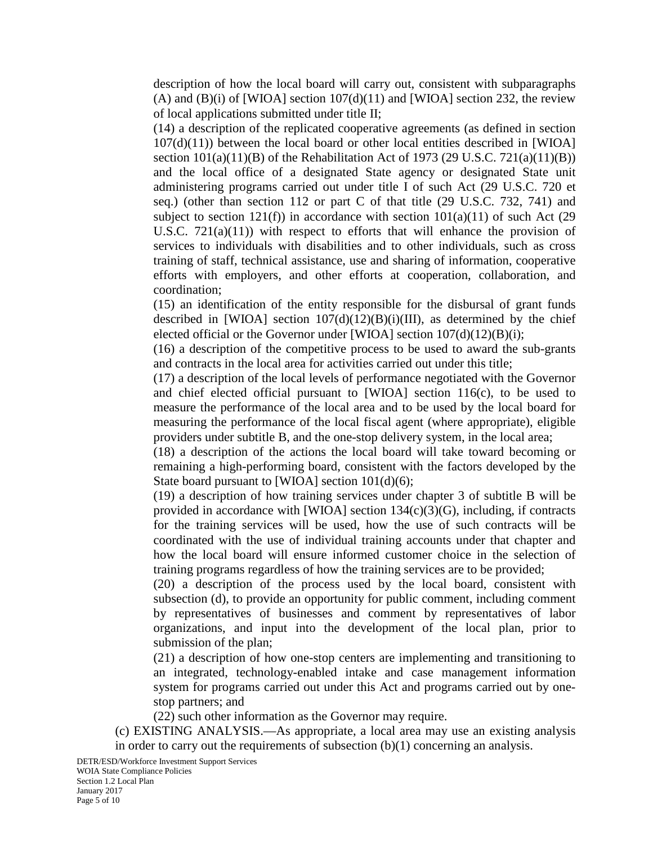description of how the local board will carry out, consistent with subparagraphs (A) and  $(B)(i)$  of [WIOA] section 107 $(d)(11)$  and [WIOA] section 232, the review of local applications submitted under title II;

(14) a description of the replicated cooperative agreements (as defined in section 107(d)(11)) between the local board or other local entities described in [WIOA] section  $101(a)(11)(B)$  of the Rehabilitation Act of 1973 (29 U.S.C. 721(a)(11)(B)) and the local office of a designated State agency or designated State unit administering programs carried out under title I of such Act (29 U.S.C. 720 et seq.) (other than section 112 or part C of that title (29 U.S.C. 732, 741) and subject to section  $121(f)$ ) in accordance with section  $101(a)(11)$  of such Act (29 U.S.C.  $721(a)(11)$ ) with respect to efforts that will enhance the provision of services to individuals with disabilities and to other individuals, such as cross training of staff, technical assistance, use and sharing of information, cooperative efforts with employers, and other efforts at cooperation, collaboration, and coordination;

(15) an identification of the entity responsible for the disbursal of grant funds described in [WIOA] section  $107(d)(12)(B)(i)(III)$ , as determined by the chief elected official or the Governor under [WIOA] section 107(d)(12)(B)(i);

(16) a description of the competitive process to be used to award the sub-grants and contracts in the local area for activities carried out under this title;

(17) a description of the local levels of performance negotiated with the Governor and chief elected official pursuant to [WIOA] section 116(c), to be used to measure the performance of the local area and to be used by the local board for measuring the performance of the local fiscal agent (where appropriate), eligible providers under subtitle B, and the one-stop delivery system, in the local area;

(18) a description of the actions the local board will take toward becoming or remaining a high-performing board, consistent with the factors developed by the State board pursuant to [WIOA] section  $101(d)(6)$ ;

(19) a description of how training services under chapter 3 of subtitle B will be provided in accordance with [WIOA] section  $134(c)(3)(G)$ , including, if contracts for the training services will be used, how the use of such contracts will be coordinated with the use of individual training accounts under that chapter and how the local board will ensure informed customer choice in the selection of training programs regardless of how the training services are to be provided;

(20) a description of the process used by the local board, consistent with subsection (d), to provide an opportunity for public comment, including comment by representatives of businesses and comment by representatives of labor organizations, and input into the development of the local plan, prior to submission of the plan;

(21) a description of how one-stop centers are implementing and transitioning to an integrated, technology-enabled intake and case management information system for programs carried out under this Act and programs carried out by onestop partners; and

(22) such other information as the Governor may require.

(c) EXISTING ANALYSIS.—As appropriate, a local area may use an existing analysis in order to carry out the requirements of subsection (b)(1) concerning an analysis.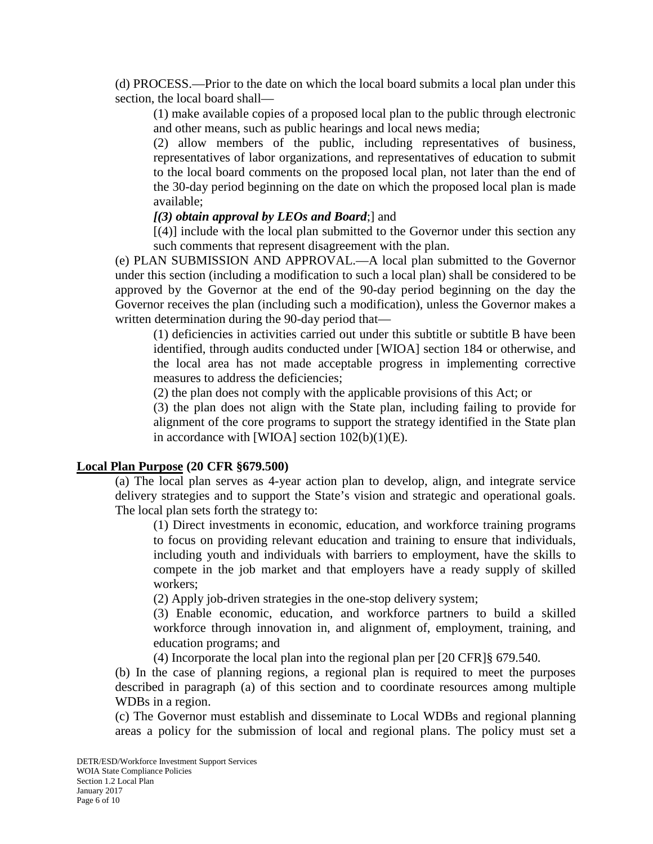(d) PROCESS.—Prior to the date on which the local board submits a local plan under this section, the local board shall—

(1) make available copies of a proposed local plan to the public through electronic and other means, such as public hearings and local news media;

(2) allow members of the public, including representatives of business, representatives of labor organizations, and representatives of education to submit to the local board comments on the proposed local plan, not later than the end of the 30-day period beginning on the date on which the proposed local plan is made available;

# *[(3) obtain approval by LEOs and Board*;] and

 $[(4)]$  include with the local plan submitted to the Governor under this section any such comments that represent disagreement with the plan.

(e) PLAN SUBMISSION AND APPROVAL.—A local plan submitted to the Governor under this section (including a modification to such a local plan) shall be considered to be approved by the Governor at the end of the 90-day period beginning on the day the Governor receives the plan (including such a modification), unless the Governor makes a written determination during the 90-day period that—

(1) deficiencies in activities carried out under this subtitle or subtitle B have been identified, through audits conducted under [WIOA] section 184 or otherwise, and the local area has not made acceptable progress in implementing corrective measures to address the deficiencies;

(2) the plan does not comply with the applicable provisions of this Act; or

(3) the plan does not align with the State plan, including failing to provide for alignment of the core programs to support the strategy identified in the State plan in accordance with [WIOA] section  $102(b)(1)(E)$ .

#### **Local Plan Purpose (20 CFR §679.500)**

(a) The local plan serves as 4-year action plan to develop, align, and integrate service delivery strategies and to support the State's vision and strategic and operational goals. The local plan sets forth the strategy to:

(1) Direct investments in economic, education, and workforce training programs to focus on providing relevant education and training to ensure that individuals, including youth and individuals with barriers to employment, have the skills to compete in the job market and that employers have a ready supply of skilled workers;

(2) Apply job-driven strategies in the one-stop delivery system;

(3) Enable economic, education, and workforce partners to build a skilled workforce through innovation in, and alignment of, employment, training, and education programs; and

(4) Incorporate the local plan into the regional plan per [20 CFR]§ 679.540.

(b) In the case of planning regions, a regional plan is required to meet the purposes described in paragraph (a) of this section and to coordinate resources among multiple WDBs in a region.

(c) The Governor must establish and disseminate to Local WDBs and regional planning areas a policy for the submission of local and regional plans. The policy must set a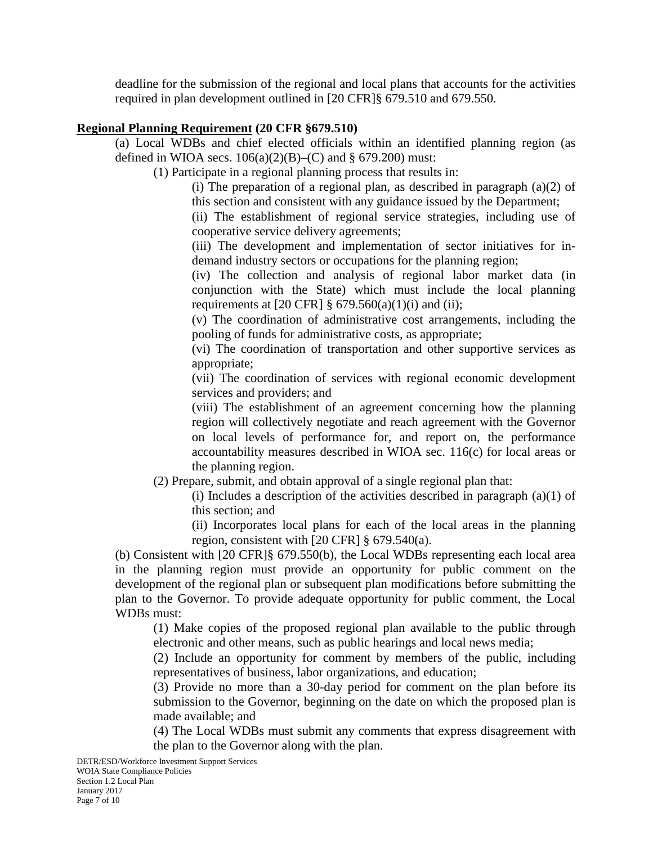deadline for the submission of the regional and local plans that accounts for the activities required in plan development outlined in [20 CFR]§ 679.510 and 679.550.

#### **Regional Planning Requirement (20 CFR §679.510)**

(a) Local WDBs and chief elected officials within an identified planning region (as defined in WIOA secs.  $106(a)(2)(B)$ –(C) and § 679.200) must:

(1) Participate in a regional planning process that results in:

(i) The preparation of a regional plan, as described in paragraph  $(a)(2)$  of this section and consistent with any guidance issued by the Department;

(ii) The establishment of regional service strategies, including use of cooperative service delivery agreements;

(iii) The development and implementation of sector initiatives for indemand industry sectors or occupations for the planning region;

(iv) The collection and analysis of regional labor market data (in conjunction with the State) which must include the local planning requirements at  $[20 \text{ CFR}]$  §  $679.560(a)(1)(i)$  and (ii);

(v) The coordination of administrative cost arrangements, including the pooling of funds for administrative costs, as appropriate;

(vi) The coordination of transportation and other supportive services as appropriate;

(vii) The coordination of services with regional economic development services and providers; and

(viii) The establishment of an agreement concerning how the planning region will collectively negotiate and reach agreement with the Governor on local levels of performance for, and report on, the performance accountability measures described in WIOA sec. 116(c) for local areas or the planning region.

(2) Prepare, submit, and obtain approval of a single regional plan that:

(i) Includes a description of the activities described in paragraph (a)(1) of this section; and

(ii) Incorporates local plans for each of the local areas in the planning region, consistent with [20 CFR] § 679.540(a).

(b) Consistent with [20 CFR]§ 679.550(b), the Local WDBs representing each local area in the planning region must provide an opportunity for public comment on the development of the regional plan or subsequent plan modifications before submitting the plan to the Governor. To provide adequate opportunity for public comment, the Local WDBs must:

(1) Make copies of the proposed regional plan available to the public through electronic and other means, such as public hearings and local news media;

(2) Include an opportunity for comment by members of the public, including representatives of business, labor organizations, and education;

(3) Provide no more than a 30-day period for comment on the plan before its submission to the Governor, beginning on the date on which the proposed plan is made available; and

(4) The Local WDBs must submit any comments that express disagreement with the plan to the Governor along with the plan.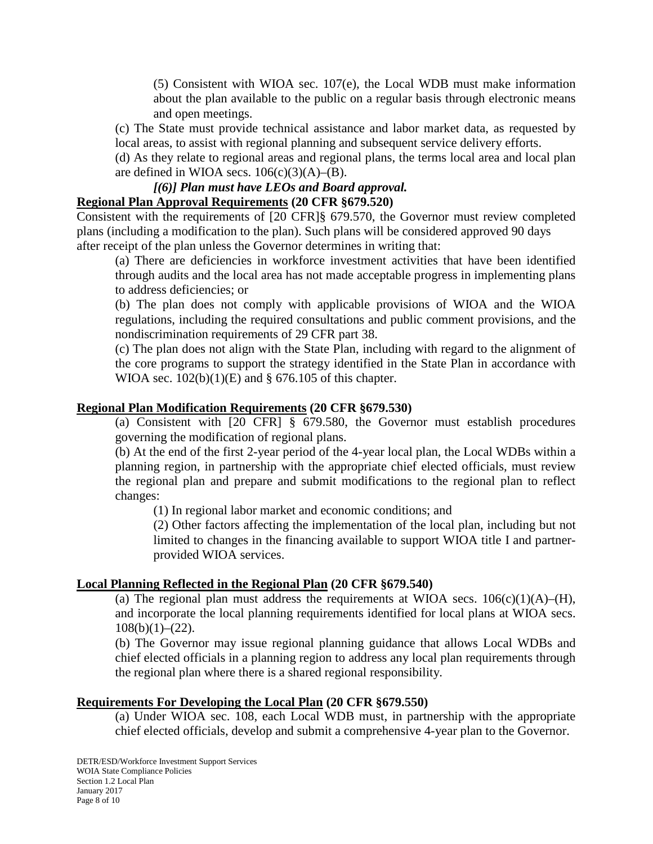(5) Consistent with WIOA sec. 107(e), the Local WDB must make information about the plan available to the public on a regular basis through electronic means and open meetings.

(c) The State must provide technical assistance and labor market data, as requested by local areas, to assist with regional planning and subsequent service delivery efforts.

(d) As they relate to regional areas and regional plans, the terms local area and local plan are defined in WIOA secs.  $106(c)(3)(A)$ –(B).

# *[(6)] Plan must have LEOs and Board approval.*

# **Regional Plan Approval Requirements (20 CFR §679.520)**

Consistent with the requirements of [20 CFR]§ 679.570, the Governor must review completed plans (including a modification to the plan). Such plans will be considered approved 90 days after receipt of the plan unless the Governor determines in writing that:

(a) There are deficiencies in workforce investment activities that have been identified through audits and the local area has not made acceptable progress in implementing plans to address deficiencies; or

(b) The plan does not comply with applicable provisions of WIOA and the WIOA regulations, including the required consultations and public comment provisions, and the nondiscrimination requirements of 29 CFR part 38.

(c) The plan does not align with the State Plan, including with regard to the alignment of the core programs to support the strategy identified in the State Plan in accordance with WIOA sec.  $102(b)(1)(E)$  and § 676.105 of this chapter.

#### **Regional Plan Modification Requirements (20 CFR §679.530)**

(a) Consistent with [20 CFR] § 679.580, the Governor must establish procedures governing the modification of regional plans.

(b) At the end of the first 2-year period of the 4-year local plan, the Local WDBs within a planning region, in partnership with the appropriate chief elected officials, must review the regional plan and prepare and submit modifications to the regional plan to reflect changes:

(1) In regional labor market and economic conditions; and

(2) Other factors affecting the implementation of the local plan, including but not limited to changes in the financing available to support WIOA title I and partnerprovided WIOA services.

#### **Local Planning Reflected in the Regional Plan (20 CFR §679.540)**

(a) The regional plan must address the requirements at WIOA secs.  $106(c)(1)(A)$ –(H), and incorporate the local planning requirements identified for local plans at WIOA secs.  $108(b)(1)-(22)$ .

(b) The Governor may issue regional planning guidance that allows Local WDBs and chief elected officials in a planning region to address any local plan requirements through the regional plan where there is a shared regional responsibility.

#### **Requirements For Developing the Local Plan (20 CFR §679.550)**

(a) Under WIOA sec. 108, each Local WDB must, in partnership with the appropriate chief elected officials, develop and submit a comprehensive 4-year plan to the Governor.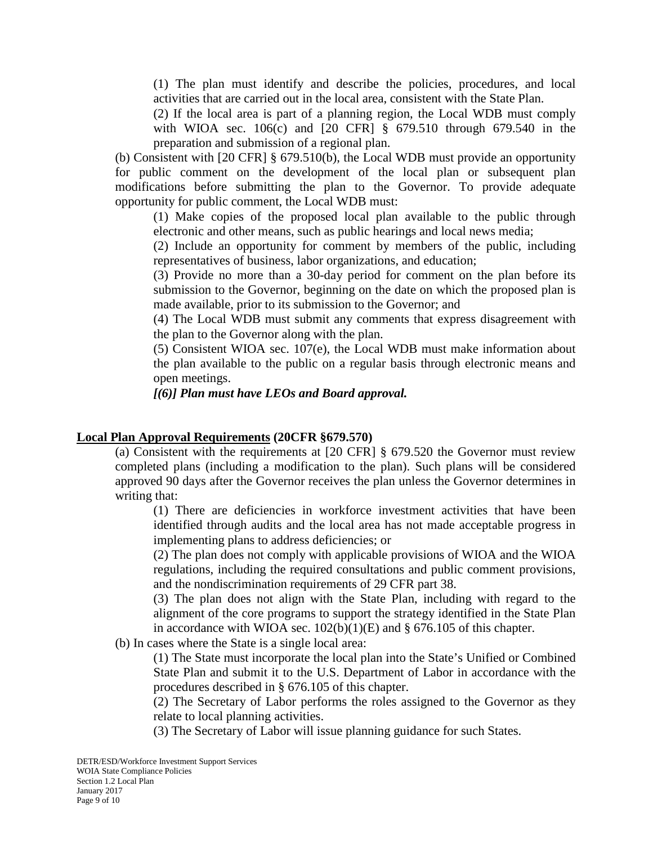(1) The plan must identify and describe the policies, procedures, and local activities that are carried out in the local area, consistent with the State Plan.

(2) If the local area is part of a planning region, the Local WDB must comply with WIOA sec. 106(c) and [20 CFR] § 679.510 through 679.540 in the preparation and submission of a regional plan.

(b) Consistent with [20 CFR] § 679.510(b), the Local WDB must provide an opportunity for public comment on the development of the local plan or subsequent plan modifications before submitting the plan to the Governor. To provide adequate opportunity for public comment, the Local WDB must:

(1) Make copies of the proposed local plan available to the public through electronic and other means, such as public hearings and local news media;

(2) Include an opportunity for comment by members of the public, including representatives of business, labor organizations, and education;

(3) Provide no more than a 30-day period for comment on the plan before its submission to the Governor, beginning on the date on which the proposed plan is made available, prior to its submission to the Governor; and

(4) The Local WDB must submit any comments that express disagreement with the plan to the Governor along with the plan.

(5) Consistent WIOA sec. 107(e), the Local WDB must make information about the plan available to the public on a regular basis through electronic means and open meetings.

# *[(6)] Plan must have LEOs and Board approval.*

#### **Local Plan Approval Requirements (20CFR §679.570)**

(a) Consistent with the requirements at [20 CFR] § 679.520 the Governor must review completed plans (including a modification to the plan). Such plans will be considered approved 90 days after the Governor receives the plan unless the Governor determines in writing that:

(1) There are deficiencies in workforce investment activities that have been identified through audits and the local area has not made acceptable progress in implementing plans to address deficiencies; or

(2) The plan does not comply with applicable provisions of WIOA and the WIOA regulations, including the required consultations and public comment provisions, and the nondiscrimination requirements of 29 CFR part 38.

(3) The plan does not align with the State Plan, including with regard to the alignment of the core programs to support the strategy identified in the State Plan in accordance with WIOA sec.  $102(b)(1)(E)$  and § 676.105 of this chapter.

(b) In cases where the State is a single local area:

(1) The State must incorporate the local plan into the State's Unified or Combined State Plan and submit it to the U.S. Department of Labor in accordance with the procedures described in § 676.105 of this chapter.

(2) The Secretary of Labor performs the roles assigned to the Governor as they relate to local planning activities.

(3) The Secretary of Labor will issue planning guidance for such States.